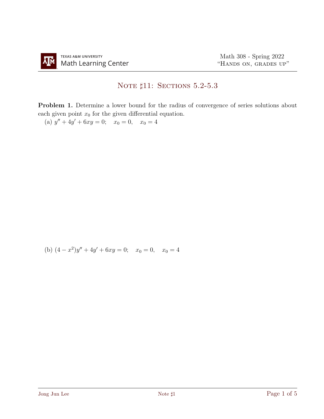## NOTE  $\sharp 11:$  Sections 5.2-5.3

Problem 1. Determine a lower bound for the radius of convergence of series solutions about each given point  $x_0$  for the given differential equation.

(a)  $y'' + 4y' + 6xy = 0$ ;  $x_0 = 0$ ,  $x_0 = 4$ 

(b) 
$$
(4-x^2)y'' + 4y' + 6xy = 0
$$
;  $x_0 = 0$ ,  $x_0 = 4$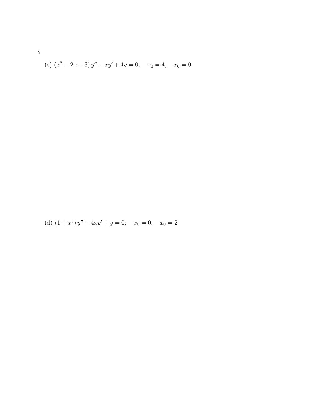(c) 
$$
(x^2 - 2x - 3)y'' + xy' + 4y = 0
$$
;  $x_0 = 4$ ,  $x_0 = 0$ 

(d) 
$$
(1+x^3)y'' + 4xy' + y = 0
$$
;  $x_0 = 0$ ,  $x_0 = 2$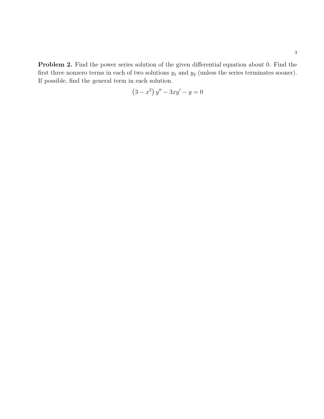Problem 2. Find the power series solution of the given differential equation about 0. Find the first three nonzero terms in each of two solutions  $y_1$  and  $y_2$  (unless the series terminates sooner). If possible, find the general term in each solution.

$$
(3 - x^2) y'' - 3xy' - y = 0
$$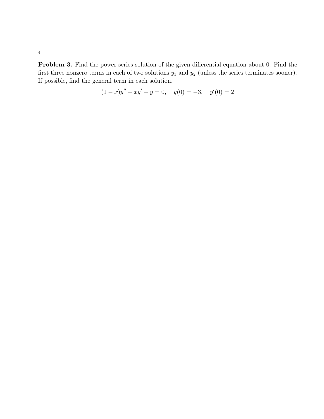Problem 3. Find the power series solution of the given differential equation about 0. Find the first three nonzero terms in each of two solutions  $y_1$  and  $y_2$  (unless the series terminates sooner). If possible, find the general term in each solution.

$$
(1-x)y'' + xy' - y = 0, \quad y(0) = -3, \quad y'(0) = 2
$$